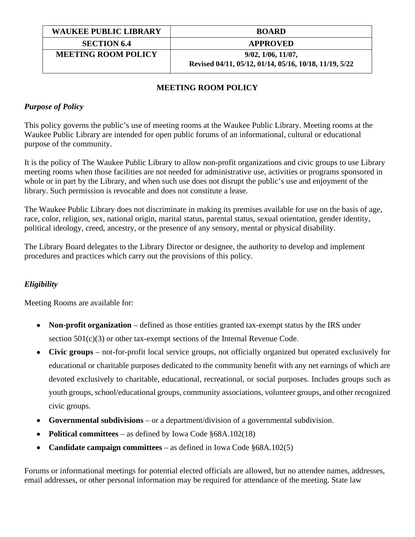| <b>WAUKEE PUBLIC LIBRARY</b> | <b>BOARD</b>                                           |
|------------------------------|--------------------------------------------------------|
| <b>SECTION 6.4</b>           | <b>APPROVED</b>                                        |
| <b>MEETING ROOM POLICY</b>   | $9/02$ , $1/06$ , $11/07$ ,                            |
|                              | Revised 04/11, 05/12, 01/14, 05/16, 10/18, 11/19, 5/22 |

# **MEETING ROOM POLICY**

## *Purpose of Policy*

This policy governs the public's use of meeting rooms at the Waukee Public Library. Meeting rooms at the Waukee Public Library are intended for open public forums of an informational, cultural or educational purpose of the community.

It is the policy of The Waukee Public Library to allow non-profit organizations and civic groups to use Library meeting rooms when those facilities are not needed for administrative use, activities or programs sponsored in whole or in part by the Library, and when such use does not disrupt the public's use and enjoyment of the library. Such permission is revocable and does not constitute a lease.

The Waukee Public Library does not discriminate in making its premises available for use on the basis of age, race, color, religion, sex, national origin, marital status, parental status, sexual orientation, gender identity, political ideology, creed, ancestry, or the presence of any sensory, mental or physical disability.

The Library Board delegates to the Library Director or designee, the authority to develop and implement procedures and practices which carry out the provisions of this policy.

### *Eligibility*

Meeting Rooms are available for:

- Non-profit organization defined as those entities granted tax-exempt status by the IRS under section 501(c)(3) or other tax-exempt sections of the Internal Revenue Code.
- **Civic groups**  not-for-profit local service groups, not officially organized but operated exclusively for educational or charitable purposes dedicated to the community benefit with any net earnings of which are devoted exclusively to charitable, educational, recreational, or social purposes. Includes groups such as youth groups, school/educational groups, community associations, volunteer groups, and other recognized civic groups.
- **Governmental subdivisions**  or a department/division of a governmental subdivision.
- **Political committees** as defined by Iowa Code §68A.102(18)
- **Candidate campaign committees**  as defined in Iowa Code §68A.102(5)

Forums or informational meetings for potential elected officials are allowed, but no attendee names, addresses, email addresses, or other personal information may be required for attendance of the meeting. State law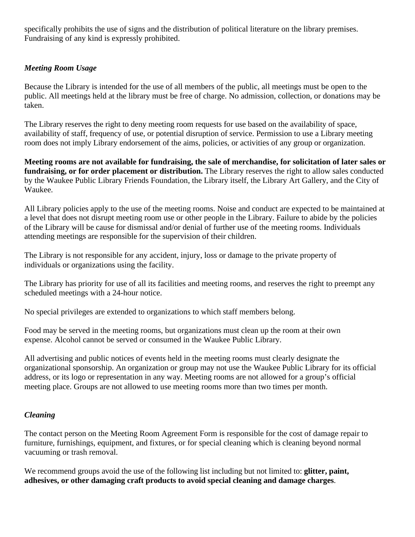specifically prohibits the use of signs and the distribution of political literature on the library premises. Fundraising of any kind is expressly prohibited.

### *Meeting Room Usage*

Because the Library is intended for the use of all members of the public, all meetings must be open to the public. All meetings held at the library must be free of charge. No admission, collection, or donations may be taken.

The Library reserves the right to deny meeting room requests for use based on the availability of space, availability of staff, frequency of use, or potential disruption of service. Permission to use a Library meeting room does not imply Library endorsement of the aims, policies, or activities of any group or organization.

**Meeting rooms are not available for fundraising, the sale of merchandise, for solicitation of later sales or fundraising, or for order placement or distribution.** The Library reserves the right to allow sales conducted by the Waukee Public Library Friends Foundation, the Library itself, the Library Art Gallery, and the City of Waukee.

All Library policies apply to the use of the meeting rooms. Noise and conduct are expected to be maintained at a level that does not disrupt meeting room use or other people in the Library. Failure to abide by the policies of the Library will be cause for dismissal and/or denial of further use of the meeting rooms. Individuals attending meetings are responsible for the supervision of their children.

The Library is not responsible for any accident, injury, loss or damage to the private property of individuals or organizations using the facility.

The Library has priority for use of all its facilities and meeting rooms, and reserves the right to preempt any scheduled meetings with a 24-hour notice.

No special privileges are extended to organizations to which staff members belong.

Food may be served in the meeting rooms, but organizations must clean up the room at their own expense. Alcohol cannot be served or consumed in the Waukee Public Library.

All advertising and public notices of events held in the meeting rooms must clearly designate the organizational sponsorship. An organization or group may not use the Waukee Public Library for its official address, or its logo or representation in any way. Meeting rooms are not allowed for a group's official meeting place. Groups are not allowed to use meeting rooms more than two times per month.

# *Cleaning*

The contact person on the Meeting Room Agreement Form is responsible for the cost of damage repair to furniture, furnishings, equipment, and fixtures, or for special cleaning which is cleaning beyond normal vacuuming or trash removal.

We recommend groups avoid the use of the following list including but not limited to: **glitter, paint, adhesives, or other damaging craft products to avoid special cleaning and damage charges**.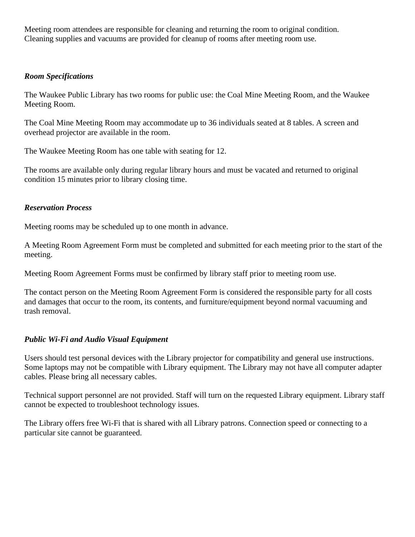Meeting room attendees are responsible for cleaning and returning the room to original condition. Cleaning supplies and vacuums are provided for cleanup of rooms after meeting room use.

#### *Room Specifications*

The Waukee Public Library has two rooms for public use: the Coal Mine Meeting Room, and the Waukee Meeting Room.

The Coal Mine Meeting Room may accommodate up to 36 individuals seated at 8 tables. A screen and overhead projector are available in the room.

The Waukee Meeting Room has one table with seating for 12.

The rooms are available only during regular library hours and must be vacated and returned to original condition 15 minutes prior to library closing time.

#### *Reservation Process*

Meeting rooms may be scheduled up to one month in advance.

A Meeting Room Agreement Form must be completed and submitted for each meeting prior to the start of the meeting.

Meeting Room Agreement Forms must be confirmed by library staff prior to meeting room use.

The contact person on the Meeting Room Agreement Form is considered the responsible party for all costs and damages that occur to the room, its contents, and furniture/equipment beyond normal vacuuming and trash removal.

### *Public Wi-Fi and Audio Visual Equipment*

Users should test personal devices with the Library projector for compatibility and general use instructions. Some laptops may not be compatible with Library equipment. The Library may not have all computer adapter cables. Please bring all necessary cables.

Technical support personnel are not provided. Staff will turn on the requested Library equipment. Library staff cannot be expected to troubleshoot technology issues.

The Library offers free Wi-Fi that is shared with all Library patrons. Connection speed or connecting to a particular site cannot be guaranteed.